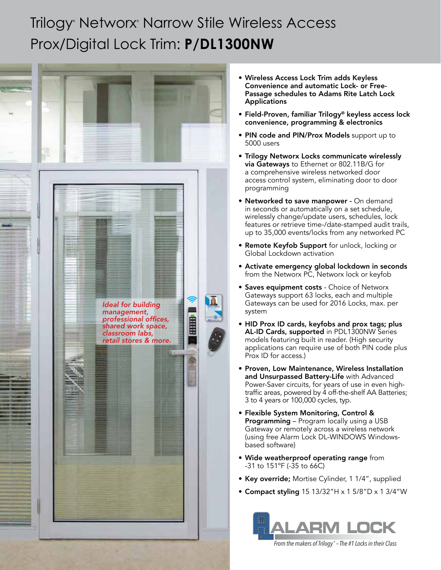## Trilogy® Networx® Narrow Stile Wireless Access Prox/Digital Lock Trim: **P/DL1300NW**



- Wireless Access Lock Trim adds Keyless Convenience and automatic Lock- or Free-Passage schedules to Adams Rite Latch Lock **Applications**
- Field-Proven, familiar Trilogy® keyless access lock convenience, programming & electronics
- PIN code and PIN/Prox Models support up to 5000 users
- Trilogy Networx Locks communicate wirelessly via Gateways to Ethernet or 802.11B/G for a comprehensive wireless networked door access control system, eliminating door to door programming
- Networked to save manpower On demand in seconds or automatically on a set schedule, wirelessly change/update users, schedules, lock features or retrieve time-/date-stamped audit trails, up to 35,000 events/locks from any networked PC
- Remote Keyfob Support for unlock, locking or Global Lockdown activation
- Activate emergency global lockdown in seconds from the Networx PC, Networx lock or keyfob
- Saves equipment costs Choice of Networx Gateways support 63 locks, each and multiple Gateways can be used for 2016 Locks, max. per system
- HID Prox ID cards, keyfobs and prox tags; plus AL-ID Cards, supported in PDL1300NW Series models featuring built in reader. (High security applications can require use of both PIN code plus Prox ID for access.)
- Proven, Low Maintenance, Wireless Installation and Unsurpassed Battery-Life with Advanced Power-Saver circuits, for years of use in even hightraffic areas, powered by 4 off-the-shelf AA Batteries; 3 to 4 years or 100,000 cycles, typ.
- Flexible System Monitoring, Control & **Programming** – Program locally using a USB Gateway or remotely across a wireless network (using free Alarm Lock DL-WINDOWS Windowsbased software)
- Wide weatherproof operating range from -31 to 151ºF (-35 to 66C)
- Key override; Mortise Cylinder, 1 1/4", supplied
- Compact styling  $15 13/32$ "H x  $1 5/8$ "D x  $1 3/4$ "W